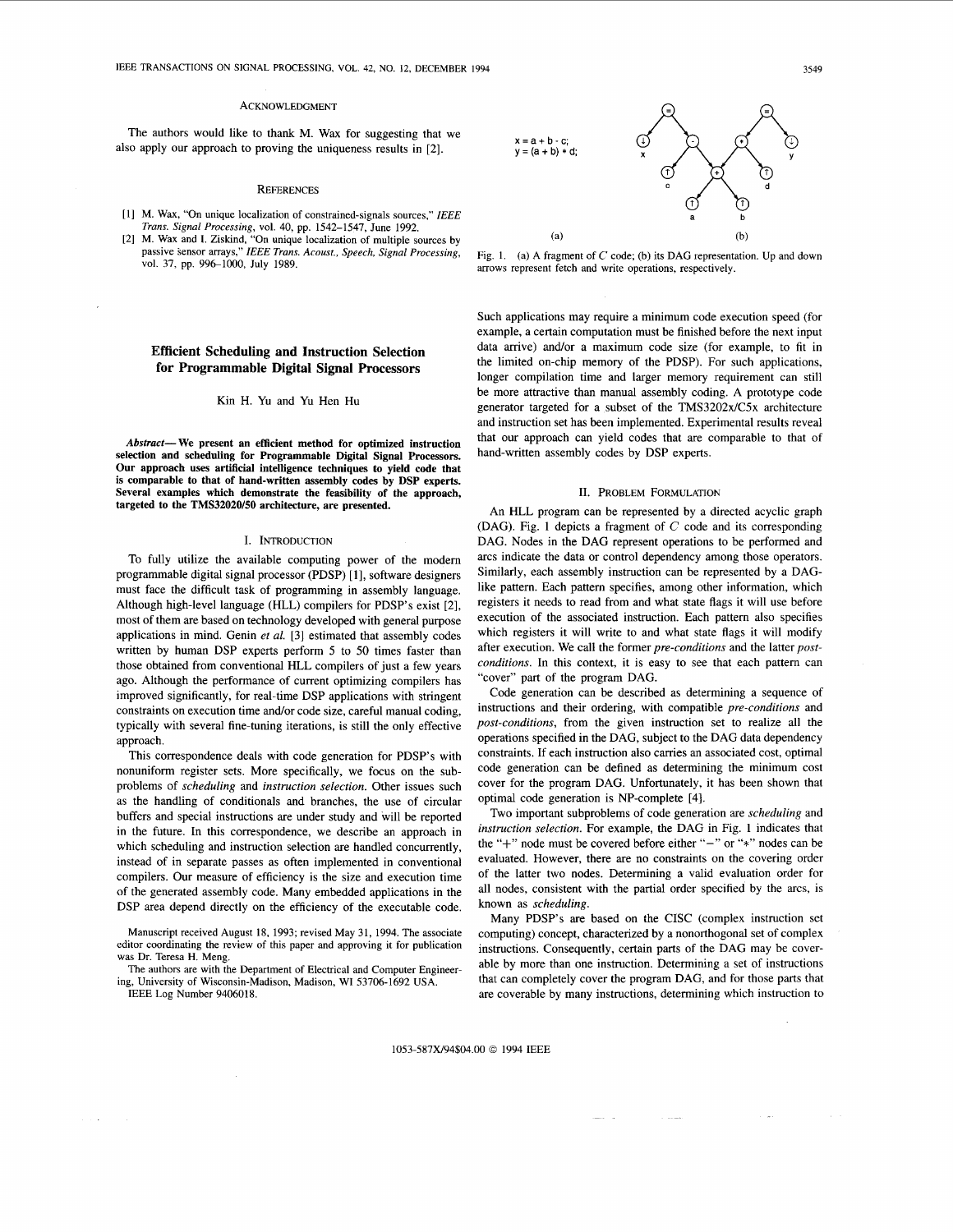### ACKNOWLEDGMENT

The authors would like to thank M. Wax for suggesting that we also apply our approach to proving the uniqueness results in [Z].

### **REFERENCES**

- [I] M. Wax, "On unique localization of constrained-signals sources," *IEEE*
- *Trans. Signal Processing,* vol. 40, pp. 1542-1547, June 1992. [2] M. Wax and I. Ziskind, "On unique localization of multiple sources by passive sensor arrays," IEEE Trans. Acoust., Speech, Signal Processing, vol. 37, pp. 996-1000, July 1989.

# **Efficient Scheduling and Instruction Selection for Programmable Digital Signal Processors**

Kin H. Yu and Yu Hen Hu

*Abstract-* **We present an efficient method for optimized instruction selection and scheduling for Programmable Digital Signal Processors. Our approach uses artificial intelligence techniques to yield code that is comparable to that of hand-written assembly codes by DSP experts. Several examples which demonstrate the feasibility of the approach, targeted to the TMS32020/50 architecture, are presented.** 

### I. INTRODUCTION

To fully utilize the available computing power of the modern programmable digital signal processor (PDSP) **[I],** software designers must face the difficult task of programming in assembly language. Although high-level language (HLL) compilers for PDSP's exist [2], most of them are based on technology developed with general purpose applications in mind. Genin *et al.* [3] estimated that assembly codes written by human DSP experts perform 5 to 50 times faster than those obtained from conventional HLL compilers of just a few years ago. Although the performance of current optimizing compilers has improved significantly, for real-time DSP applications with stringent constraints on execution time and/or code size, careful manual coding, typically with several fine-tuning iterations, is still the only effective approach.

This correspondence deals with code generation for PDSP's with nonuniform register sets. More specifically, we focus on the subproblems of *scheduling* and *instruction selection.* Other issues such as the handling of conditionals and branches, the use of circular buffers and special instructions are under study and will be reported in the future. In this correspondence, we describe an approach in which scheduling and instruction selection are handled concurrently. instead of in separate passes as often implemented in conventional compilers. Our measure of efficiency is the size and execution time of the generated assembly code. Many embedded applications in the DSP area depend directly on the efficiency of the executable code.

The authors are with the Department of Electrical and Computer Engineering, University of Wisconsin-Madison, Madison, WI 53706-1692 USA.

IEEE Log Number 9406018.

 $\alpha$  ,  $\alpha$  ,  $\alpha$ 



Fig. 1. (a) A fragment of  $C$  code; (b) its DAG representation. Up and down arrows represent fetch and write operations, respectively.

Such applications may require a minimum code execution speed (for example, a certain computation must be finished before the next input data arrive) and/or a maximum code size (for example, to fit in the limited on-chip memory of the PDSP). For such applications, longer compilation time and larger memory requirement can still be more attractive than manual assembly coding. A prototype code generator targeted for a subset of the  $TMS3202x/C5x$  architecture and instruction set has been implemented. Experimental results reveal that our approach can yield codes that are comparable to that of hand-written assembly codes by DSP experts.

## II. PROBLEM FORMULATION

An HLL program can be represented by a directed acyclic graph (DAG). Fig. **1** depicts a fragment of *C* code and its corresponding DAG. Nodes in the DAG represent operations to be performed and arcs indicate the data or control dependency among those operators. Similarly, each assembly instruction can be represented by a DAGlike pattern. Each pattern specifies, among other information, which registers it needs to read from and what state flags it will use before execution of the associated instruction. Each pattern also specifies which registers it will write to and what state flags it will modify after execution. We call the former *pre-conditions* and the latter *postconditions.* In this context, it is easy to see that each pattern can "cover" part **of** the program DAG.

Code generation can be described as determining a sequence of instructions and their ordering, with compatible *pre-conditions* and *post-conditions,* from the given instruction set to realize all the operations specified in the DAG, subject to the DAG data dependency constraints. If each instruction also carries an associated cost, optimal code generation can be defined as determining the minimum cost cover for the program DAG. Unfortunately, it has been shown that optimal code generation is NP-complete [4].

Two important subproblems of code generation are *scheduling* and *instruction selection.* For example, the DAG in Fig. **1** indicates that the "+" node must be covered before either "-" or "\*" nodes can be evaluated. However, there are no constraints on the covering order of the latter two nodes. Determining a valid evaluation order for all nodes, consistent with the partial order specified by the arcs, is known as *scheduling.* 

Many PDSP's are based on the CISC (complex instruction set computing) concept, characterized **by** a nonorthogonal set of complex instructions. Consequently, certain parts of the DAG may be coverable by more than one instruction. Determining a set of instructions that can completely cover the program DAG, and for those parts that are coverable by many instructions, determining which instruction to

Manuscript received August 18, 1993; revised May 31, 1994. The associate editor coordinating the review of this paper and approving **it** for publication was Dr. Teresa **H.** Meng.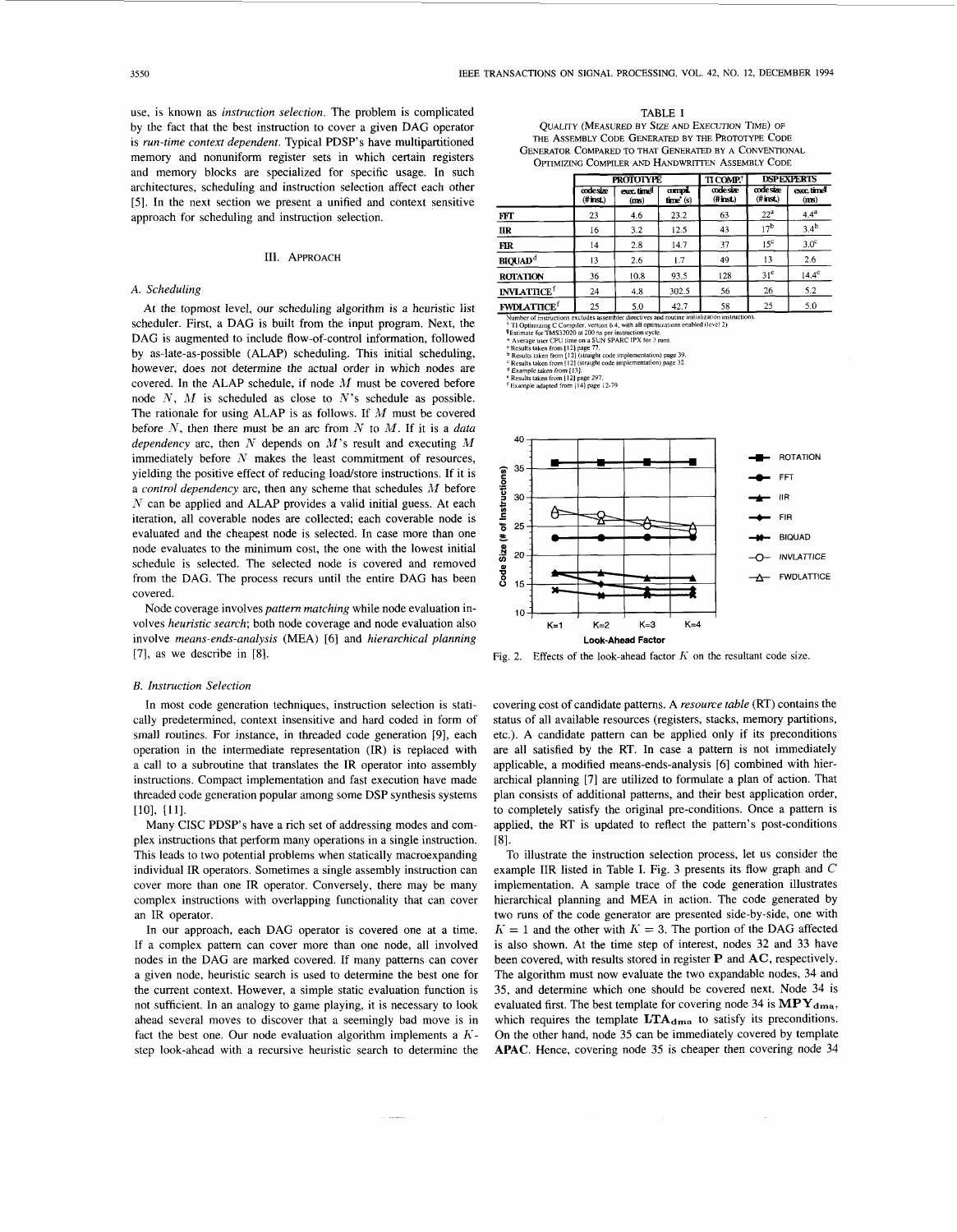use, is known as *instruction selection.* The problem is complicated by the fact that the best instruction to cover a given DAG operator is *run-time context dependent.* Typical PDSP's have multipartitioned memory and nonuniform register sets in which certain registers and memory blocks are specialized for specific usage. In such architectures, scheduling and instruction selection affect each other *[5].* In the next section we present a unified and context sensitive approach for scheduling and instruction selection.

# III. APPROACH

# **A.** *Scheduling*

At the topmost level, our scheduling algorithm is a heuristic list scheduler. First, a DAG is built from the input program. Next, the DAG is augmented to include flow-of-control information, followed by as-late-as-possible (ALAP) scheduling. This initial scheduling, however, does not determine the actual order in which nodes are covered. In the ALAP schedule, if node  $M$  must be covered before node  $N$ ,  $M$  is scheduled as close to  $N$ 's schedule as possible. The rationale for using ALAP is as follows. If *M* must be covered before **A',** then there must be an arc from *N* to *M.* If it is a *data dependency* arc, then *M* depends on *M's* result and executing *M*  immediately before *Ar* makes the least commitment of resources, yielding the positive effect of reducing load/store instructions. If it is a *control dependency* arc, then any scheme that schedules *M* before  $N$  can be applied and ALAP provides a valid initial guess. At each iteration, all coverable nodes are collected; each coverable node is evaluated and the cheapest node is selected. In case more than one node evaluates to the minimum cost, the one with the lowest initial schedule is selected. The selected node is covered and removed from the DAG. The process recurs until the entire DAG has been covered.

Node coverage involves *pattem matching* while node evaluation involves *heuristic search;* both node coverage and node evaluation also involve *means-ends-analysis* (MEA) [6] and *hierarchical planning [7],* as we describe in [SI.

## *B. Instruction Selection*

In most code generation techniques, instruction selection is statically predetermined, context insensitive and hard coded in form of small routines. For instance, in threaded code generation [9], each operation in the intermediate representation (IR) is replaced with a call to a subroutine that translates the IR operator into assembly instructions. Compact implementation and fast execution have made threaded code generation popular among some DSP synthesis systems **[IO],** [Ill.

Many CISC PDSP's have a rich set of addressing modes and complex instructions that perform many operations in a single instruction. This leads to two potential problems when statically macroexpanding individual IR operators. Sometimes a single assembly instruction can cover more than one IR operator. Conversely, there may be many complex instructions with overlapping functionality that can cover an IR operator.

In our approach, each DAG operator is covered one at a time. If a complex pattern can cover more than one node, all involved nodes in the DAG are marked covered. If many patterns can cover a given node, heuristic search is used to determine the best one for the current context. However, a simple static evaluation function is not sufficient. In an analogy to game playing, it is necessary to look ahead several moves to discover that a seemingly bad move is in fact the best one. Our node evaluation algorithm implements a  $K$ step look-ahead with a recursive heuristic search to determine the

TABLE **I**  QUALITY (MEASURED BY SIZE AND EXECUTION TIME) OF THE ASSEMBLY CODE GENERATED BY THE PROTOTYPE CODE GENERATOR COMPARED TO THAT GENERATED BY A CONVENTIONAL OPTIMIZING COMPILER AND HANDWRITTEN ASSEMBLY CODE

|                                | <b>PROTOTYPE</b>            |                                |                        | TI COMP. <sup>†</sup> | <b>DSPEXPERTS</b>               |                                |
|--------------------------------|-----------------------------|--------------------------------|------------------------|-----------------------|---------------------------------|--------------------------------|
|                                | codespe<br>$(f\text{inst})$ | exec.time<br>(m <sub>S</sub> ) | compil.<br>$time* (s)$ | codesize<br>(#inst.)  | codesize<br>$(\# \text{inst.})$ | exec.time<br>(m <sub>S</sub> ) |
| FFT                            | 23                          | 4.6                            | 23.2                   | 63                    | 22 <sup>a</sup>                 | $4.4^{a}$                      |
| <b>IIR</b>                     | 16                          | 3.2                            | 12.5                   | 43                    | 17 <sup>b</sup>                 | 3.4 <sup>b</sup>               |
| <b>FIR</b>                     | 14                          | 2.8                            | 14.7                   | 37                    | 15 <sup>c</sup>                 | $3.0^\circ$                    |
| BIOUAD <sup>d</sup>            | 13                          | 2.6                            | 1.7                    | 49                    | 13                              | 2.6                            |
| <b>ROTATION</b>                | 36                          | 10.8                           | 93.5                   | 128                   | 31 <sup>e</sup>                 | $14.4^\circ$                   |
| <b>INVLATTICE</b> <sup>f</sup> | 24                          | 4.8                            | 302.5                  | 56                    | 26                              | 5.2                            |
| <b>FWDLATTICE</b> <sup>f</sup> | 25                          | 5.0                            | 42.7                   | 58                    | 25                              | 5.0                            |

<sup>1</sup>TI Optimizing C Compiler, version 6.4, with all optimizations enabled (level 2)<br>
<sup>2</sup> Estimate for TM\$32020 at 200 ns per instruction cycle.<br>
<sup>2</sup> Average user CPU time on a SUN SPARC IPX for 3 runs.<br>
<sup>2</sup> Results taken f

<sup>e</sup> Results taken from [12] page 297.<br><sup>f</sup> Example adapted from [14] page 12-79.



**Fig.** *2.* Effects of the look-ahead factor *K* on the resultant code size.

covering cost of candidate patterns. A *resourre table* (RT) contains the status of all available resources (registers, stacks, memory partitions, etc.). A candidate pattern can be applied only if its preconditions are all satisfied by the RT. In case a pattem is not immediately applicable, a modified means-ends-analysis **[6]** combined with hierarchical planning **[7]** are utilized to formulate a plan of action. That plan consists of additional patterns, and their best application order, to completely satisfy the original pre-conditions. Once a pattern is applied, the RT is updated to reflect the pattern's post-conditions [SI.

To illustrate the instruction selection process, let us consider the example IIR listed in Table I. [Fig. 3](#page-2-0) presents its flow graph and *C*  implementation. A sample trace of the code generation illustrates hierarchical planning and MEA in action. The code generated by two runs of the code generator are presented side-by-side, one with  $K = 1$  and the other with  $K = 3$ . The portion of the DAG affected is also shown. At the time step of interest, nodes *32* and 33 have been covered, with results stored in register **P** and **AC,** respectively. The algorithm must now evaluate the two expandable nodes, 34 and 35, and determine which one should be covered next. Node 34 **is**  evaluated first. The best template for covering node 34 is  $\textbf{MPY}_{\textbf{dma}}$ , which requires the template LTA<sub>dma</sub> to satisfy its preconditions. On the other hand, node 35 can be immediately covered by template **APAC.** Hence, covering node 35 is cheaper then covering node 34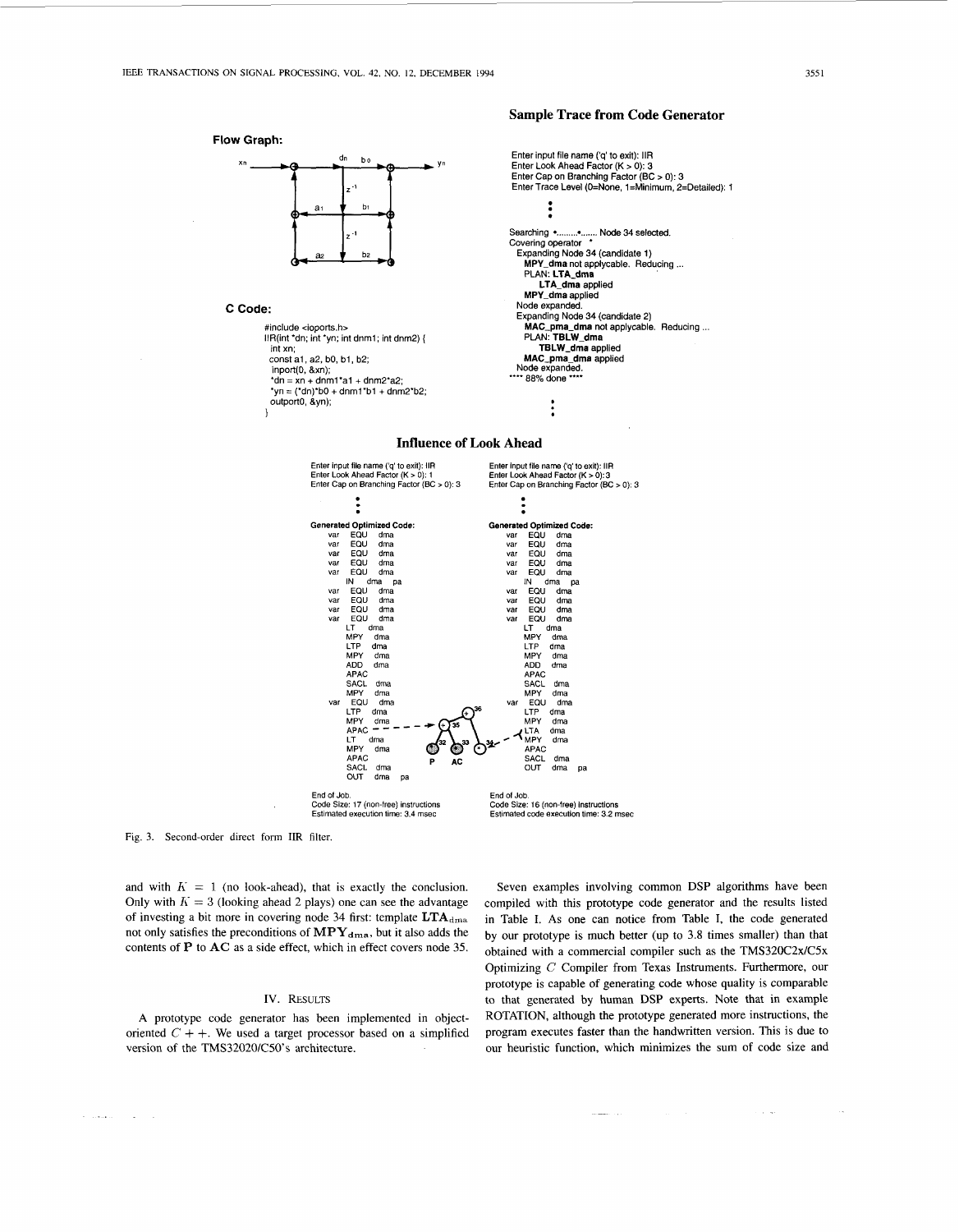<span id="page-2-0"></span>

*C* **Code:** 

**#include <ioports.h> IIR(int \*dn; int 'yn; int dnml; int dnm2)** { **int xn; const a1** , **a2, bo, bl** , **b2; inport(0, &xn); 'dn** = **xn** + **dnml 'a1** + **dnmTa.2; 'yn** = **(\*dn)'bO** + **dnml'bl** + **dnmZ'b2;**  outport0, &yn); 1

# **Sample Trace from Code Generator**

**Enter input file name ('q'** to **exit):** IIR **Enter Look Ahead Factor** (K > **0): 3**  Enter Cap on Branching Factor (BC > 0): 3<br>Enter Trace Level (0=None, 1=Minimum, 2=Detailed): 1<br>
• *0*  Searching **\*.........\*....... Node 34 selected.**<br>Covering operator **\* Expanding Node 34 (candidate 1) MPY-dma not applycable. Reducing** ... **PLAN: LTA-dma LTA-dma applied MPY-dma applied MAC\_pma\_dma** not applycable. Reducing ... **PLAN: TBLW-dma TBLW-dma applied MAC-pma-dma applied Node expanded. Expanding Node 34 (candidate 2) Node expanded.**  \*\*\*\* **88% done** \*\*\*\*

> **e e**

# **Influence of Look Ahead**

Enter input file name ('q' lo exit): **IIR**  Enter Look Ahead Factor (K > 0): 1 Enter Cap on Branching Factor (BC > 0): 3 Enter input file name ('q'toexit): **IIR**  Enter Look Ahead Factor (K > **0):3**  Enter Cap on Branching Factor (BC > 0): 3 *0 0*  . *<sup>0</sup>* Generated Optimized Code:<br>
var EQU dma var EQU dma<br>
var EQU dma<br>
var EQU dma var EQU dma var EQU dma var EQU dma var EQU dma var EQU dma var EQU dma var EQU dma var EQU dma var EQU dma var EQU dma var EQU dma var EQU dma IN dma pa IN dma pa var EQU dma var EQU dma var EQU dma var EQU dma vat EQU dma var EQU dma LT dma LT dma MPY dma MPY dma LTP dma LTP dma MPY dma MPY dma ADD dma ADD dma APAC APAC SACL dma SACL dma MPY dma MPY dma var EQU dma vat EQU dma LTP dma LTP dma MPY dma<br>APAC ----- **\***  $\frac{M}{\sqrt{M}}$  **a** *C*<sup>1</sup> dma<br>MPY dma<br>MPY dma **dma**  $\frac{M}{\sqrt{M}}$  **/**  $\frac{1}{\sqrt{M}}$  dma<br>MPX dma APAC SACL dma SACL dma OUT dma pa SACL dma<br>OUT dma pa End of Job. *Code* Size: 17 (non-free) instructions Estimated execution time: 3.4 msec End of Job Code Size: 16 (non-free) instructions Estimated code execution time: **3.2** msec

**Fig.** *3.* Second-order direct form IIR filter.

الأراد الأنوار المتعملات

and with  $K = 1$  (no look-ahead), that is exactly the conclusion. Only with  $K = 3$  (looking ahead 2 plays) one can see the advantage of investing a bit more in covering node 34 first: template LTA<sub>dma</sub> not only satisfies the preconditions of  $MPY_{dma}$ , but it also adds the contents of **P** to **AC** as a side effect, which in effect covers node 35.

### **IV.** RESULTS

**A** prototype code generator has been implemented in objectoriented  $C + +$ . We used a target processor based on a simplified version of the TMS32020/C50's architecture.

Seven examples involving common DSP algorithms have been compiled with this prototype code generator and the results listed in Table I. **As** one can notice from Table I, the code generated by our prototype is much better (up to 3.8 times smaller) than that obtained with a commercial compiler such as the TMS320C2x1C5x Optimizing *C* Compiler from Texas Instruments. Furthermore, our prototype is capable of generating code whose quality is comparable to that generated by human **DSP** experts. Note that in example ROTATION, although the prototype generated more instructions, the program executes faster than the handwritten version. This is due to our heuristic function, which minimizes the sum of code size and